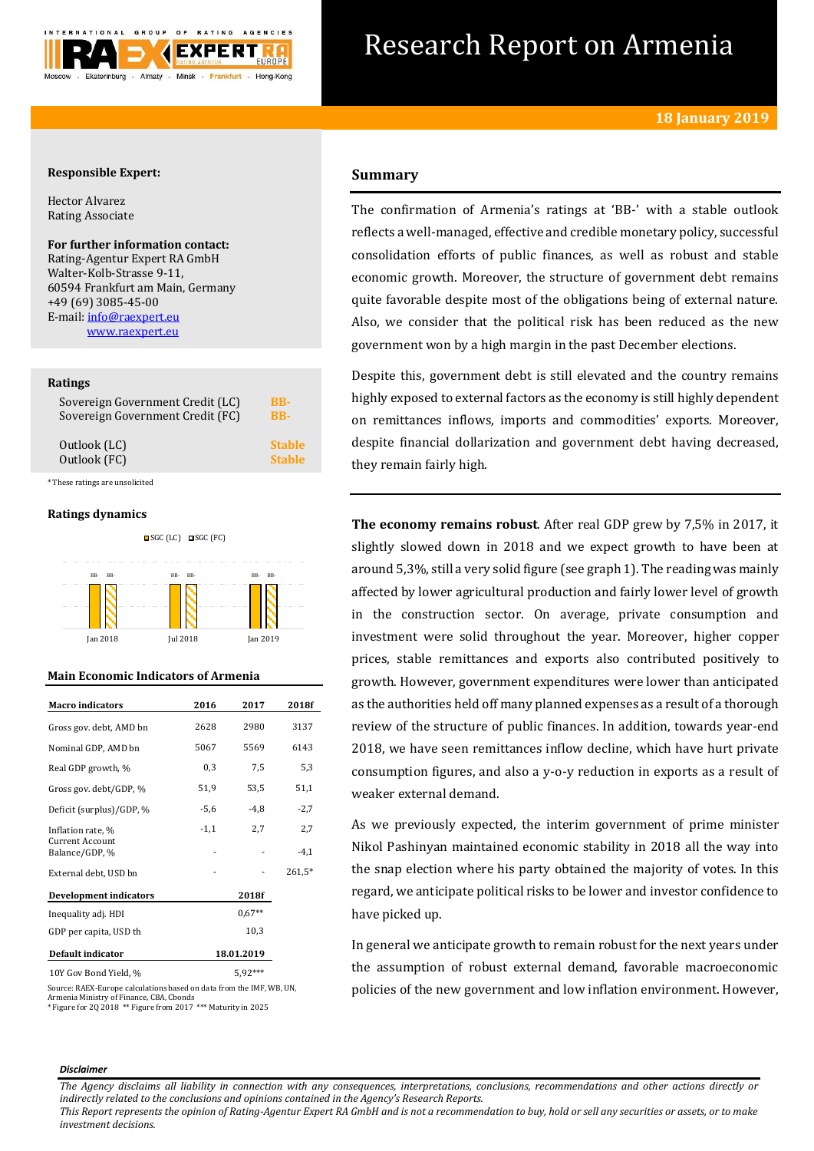

# Research Report on Armenia

# **Responsible Expert:**

Hector Alvarez Rating Associate

# **For further information contact:**

Rating-Agentur Expert RA GmbH Walter-Kolb-Strasse 9-11, 60594 Frankfurt am Main, Germany +49 (69) 3085-45-00 E-mail[: info@raexpert.eu](mailto:info@raexpert.eu) [www.raexpert.eu](http://raexpert.eu/)

# **Ratings**

| Sovereign Government Credit (LC) | BB-           |
|----------------------------------|---------------|
| Sovereign Government Credit (FC) | <b>BB-</b>    |
| Outlook (LC)                     | <b>Stable</b> |
| Outlook (FC)                     | <b>Stable</b> |

\* These ratings are unsolicited

# **Ratings dynamics**





# **Main Economic Indicators of Armenia**

| <b>Macro</b> indicators                  | 2016       | 2017     | 2018f    |
|------------------------------------------|------------|----------|----------|
| Gross gov. debt, AMD bn                  | 2628       | 2980     | 3137     |
| Nominal GDP, AMD bn                      | 5067       | 5569     | 6143     |
| Real GDP growth, %                       | 0,3        | 7,5      | 5,3      |
| Gross gov. debt/GDP, %                   | 51,9       | 53,5     | 51,1     |
| Deficit (surplus)/GDP, %                 | $-5,6$     | $-4,8$   | $-2,7$   |
| Inflation rate, %                        | $-1,1$     | 2,7      | 2,7      |
| <b>Current Account</b><br>Balance/GDP, % |            |          | $-4,1$   |
| External debt, USD bn                    |            |          | $261,5*$ |
| Development indicators                   |            | 2018f    |          |
| Inequality adj. HDI                      |            | $0.67**$ |          |
| GDP per capita, USD th                   | 10,3       |          |          |
| Default indicator                        | 18.01.2019 |          |          |
| 10Y Gov Bond Yield, %                    |            | 5,92***  |          |

Source: RAEX-Europe calculations based on data from the IMF, WB, UN, Armenia Ministry of Finance, CBA, Cbonds \* Figure for 2Q 2018 \*\* Figure from 2017 \*\*\* Maturity in 2025

# **Summary**

The confirmation of Armenia's ratings at 'BB-' with a stable outlook reflects a well-managed, effective and credible monetary policy, successful consolidation efforts of public finances, as well as robust and stable economic growth. Moreover, the structure of government debt remains quite favorable despite most of the obligations being of external nature. Also, we consider that the political risk has been reduced as the new government won by a high margin in the past December elections.

Despite this, government debt is still elevated and the country remains highly exposed to external factors as the economy is still highly dependent on remittances inflows, imports and commodities' exports. Moreover, despite financial dollarization and government debt having decreased, they remain fairly high.

**The economy remains robust**. After real GDP grew by 7,5% in 2017, it slightly slowed down in 2018 and we expect growth to have been at around 5,3%, still a very solid figure (see graph 1). The reading was mainly affected by lower agricultural production and fairly lower level of growth in the construction sector. On average, private consumption and investment were solid throughout the year. Moreover, higher copper prices, stable remittances and exports also contributed positively to growth. However, government expenditures were lower than anticipated as the authorities held off many planned expenses as a result of a thorough review of the structure of public finances. In addition, towards year-end 2018, we have seen remittances inflow decline, which have hurt private consumption figures, and also a y-o-y reduction in exports as a result of weaker external demand.

As we previously expected, the interim government of prime minister Nikol Pashinyan maintained economic stability in 2018 all the way into the snap election where his party obtained the majority of votes. In this regard, we anticipate political risks to be lower and investor confidence to have picked up.

In general we anticipate growth to remain robust for the next years under the assumption of robust external demand, favorable macroeconomic policies of the new government and low inflation environment. However,

#### *Disclaimer*

*The Agency disclaims all liability in connection with any consequences, interpretations, conclusions, recommendations and other actions directly or indirectly related to the conclusions and opinions contained in the Agency's Research Reports.*

*This Report represents the opinion of Rating-Agentur Expert RA GmbH and is not a recommendation to buy, hold or sell any securities or assets, or to make investment decisions.*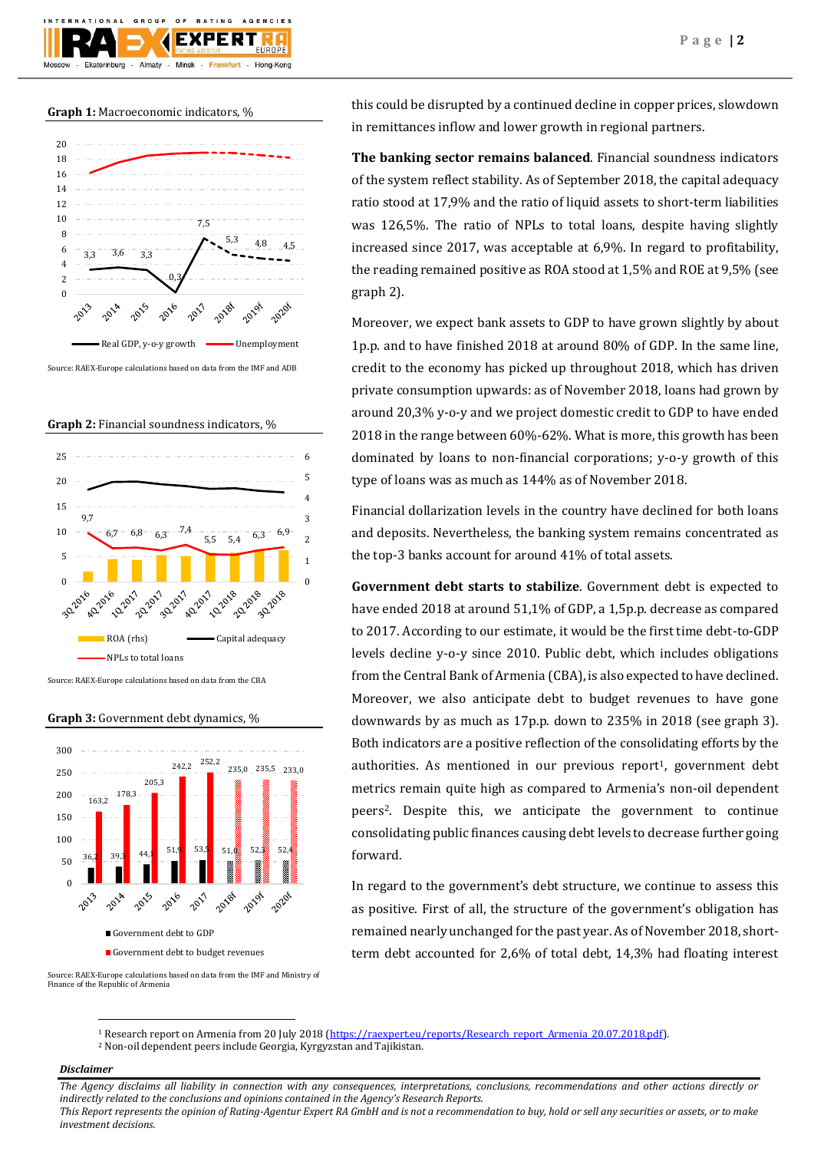## **Graph 1:** Macroeconomic indicators, %

Almaty -

Ekaterinburg

GROUP

 $O F$ 

EXI

Minsk

**BATING** 

Frankfurt -

AGENCIES

Hong-Kong



Source: RAEX-Europe calculations based on data from the IMF and ADB

**Graph 2:** Financial soundness indicators, %



Source: RAEX-Europe calculations based on data from the CBA

**Graph 3:** Government debt dynamics, %



Source: RAEX-Europe calculations based on data from the IMF and Ministry of Finance of the Republic of Armenia

this could be disrupted by a continued decline in copper prices, slowdown in remittances inflow and lower growth in regional partners.

**The banking sector remains balanced**. Financial soundness indicators of the system reflect stability. As of September 2018, the capital adequacy ratio stood at 17,9% and the ratio of liquid assets to short-term liabilities was 126,5%. The ratio of NPLs to total loans, despite having slightly increased since 2017, was acceptable at 6,9%. In regard to profitability, the reading remained positive as ROA stood at 1,5% and ROE at 9,5% (see graph 2).

Moreover, we expect bank assets to GDP to have grown slightly by about 1p.p. and to have finished 2018 at around 80% of GDP. In the same line, credit to the economy has picked up throughout 2018, which has driven private consumption upwards: as of November 2018, loans had grown by around 20,3% y-o-y and we project domestic credit to GDP to have ended 2018 in the range between 60%-62%. What is more, this growth has been dominated by loans to non-financial corporations; y-o-y growth of this type of loans was as much as 144% as of November 2018.

Financial dollarization levels in the country have declined for both loans and deposits. Nevertheless, the banking system remains concentrated as the top-3 banks account for around 41% of total assets.

**Government debt starts to stabilize**. Government debt is expected to have ended 2018 at around 51,1% of GDP, a 1,5p.p. decrease as compared to 2017. According to our estimate, it would be the first time debt-to-GDP levels decline y-o-y since 2010. Public debt, which includes obligations from the Central Bank of Armenia (CBA), is also expected to have declined. Moreover, we also anticipate debt to budget revenues to have gone downwards by as much as 17p.p. down to 235% in 2018 (see graph 3). Both indicators are a positive reflection of the consolidating efforts by the authorities. As mentioned in our previous report<sup>1</sup>, government debt metrics remain quite high as compared to Armenia's non-oil dependent peers2. Despite this, we anticipate the government to continue consolidating public finances causing debt levels to decrease further going forward.

In regard to the government's debt structure, we continue to assess this as positive. First of all, the structure of the government's obligation has remained nearly unchanged for the past year. As of November 2018, shortterm debt accounted for 2,6% of total debt, 14,3% had floating interest

- 1 Research report on Armenia from 20 July 2018 [\(https://raexpert.eu/reports/Research\\_report\\_Armenia\\_20.07.2018.pdf\)](https://raexpert.eu/reports/Research_report_Armenia_20.07.2018.pdf).
- <sup>2</sup> Non-oil dependent peers include Georgia, Kyrgyzstan and Tajikistan.

# *Disclaimer*

 $\overline{\phantom{a}}$ 

*The Agency disclaims all liability in connection with any consequences, interpretations, conclusions, recommendations and other actions directly or indirectly related to the conclusions and opinions contained in the Agency's Research Reports. This Report represents the opinion of Rating-Agentur Expert RA GmbH and is not a recommendation to buy, hold or sell any securities or assets, or to make* 

*investment decisions.*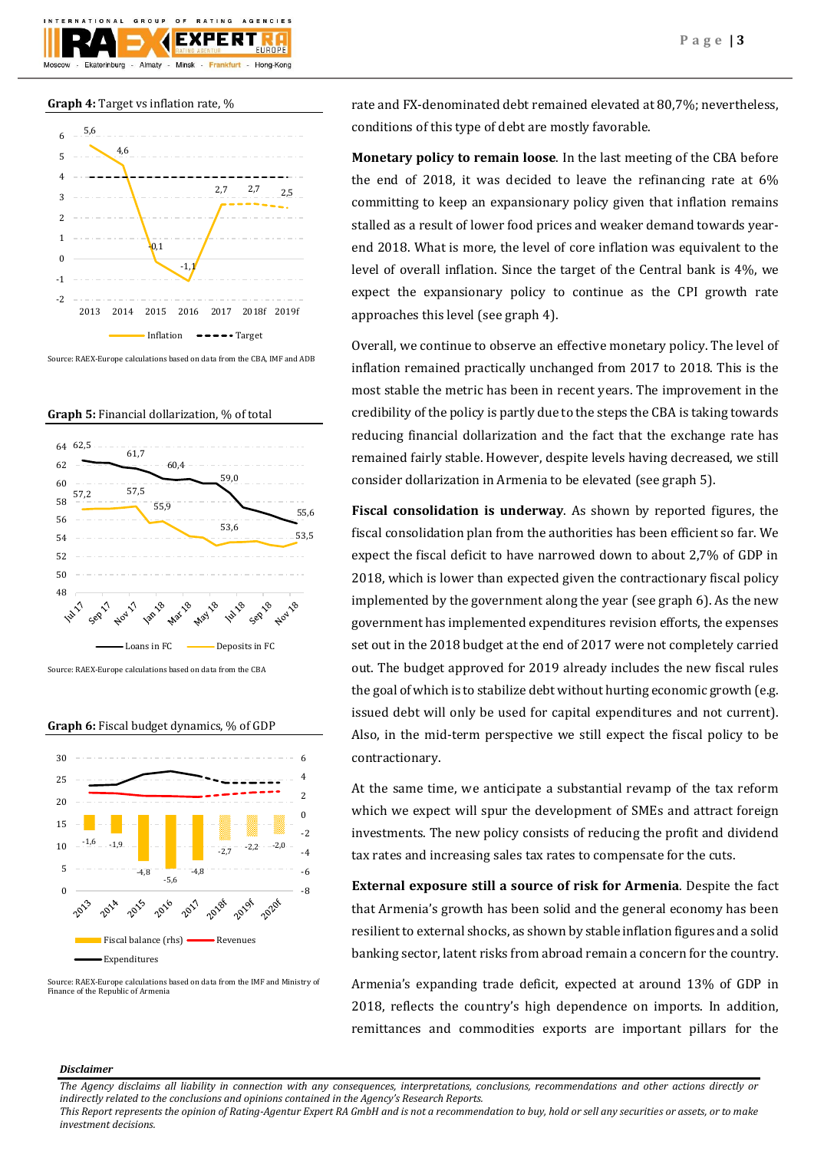





Source: RAEX-Europe calculations based on data from the CBA, IMF and ADB





**Graph 6:** Fiscal budget dynamics, % of GDP



Source: RAEX-Europe calculations based on data from the IMF and Ministry of Finance of the Republic of Armenia

rate and FX-denominated debt remained elevated at 80,7%; nevertheless, conditions of this type of debt are mostly favorable.

**Monetary policy to remain loose**. In the last meeting of the CBA before the end of 2018, it was decided to leave the refinancing rate at 6% committing to keep an expansionary policy given that inflation remains stalled as a result of lower food prices and weaker demand towards yearend 2018. What is more, the level of core inflation was equivalent to the level of overall inflation. Since the target of the Central bank is 4%, we expect the expansionary policy to continue as the CPI growth rate approaches this level (see graph 4).

Overall, we continue to observe an effective monetary policy. The level of inflation remained practically unchanged from 2017 to 2018. This is the most stable the metric has been in recent years. The improvement in the credibility of the policy is partly due to the steps the CBA is taking towards reducing financial dollarization and the fact that the exchange rate has remained fairly stable. However, despite levels having decreased, we still consider dollarization in Armenia to be elevated (see graph 5).

**Fiscal consolidation is underway**. As shown by reported figures, the fiscal consolidation plan from the authorities has been efficient so far. We expect the fiscal deficit to have narrowed down to about 2,7% of GDP in 2018, which is lower than expected given the contractionary fiscal policy implemented by the government along the year (see graph 6). As the new government has implemented expenditures revision efforts, the expenses set out in the 2018 budget at the end of 2017 were not completely carried out. The budget approved for 2019 already includes the new fiscal rules the goal of which is to stabilize debt without hurting economic growth (e.g. issued debt will only be used for capital expenditures and not current). Also, in the mid-term perspective we still expect the fiscal policy to be contractionary.

At the same time, we anticipate a substantial revamp of the tax reform which we expect will spur the development of SMEs and attract foreign investments. The new policy consists of reducing the profit and dividend tax rates and increasing sales tax rates to compensate for the cuts.

**External exposure still a source of risk for Armenia**. Despite the fact that Armenia's growth has been solid and the general economy has been resilient to external shocks, as shown by stable inflation figures and a solid banking sector, latent risks from abroad remain a concern for the country.

Armenia's expanding trade deficit, expected at around 13% of GDP in 2018, reflects the country's high dependence on imports. In addition, remittances and commodities exports are important pillars for the

# *Disclaimer*

*This Report represents the opinion of Rating-Agentur Expert RA GmbH and is not a recommendation to buy, hold or sell any securities or assets, or to make investment decisions.*

*The Agency disclaims all liability in connection with any consequences, interpretations, conclusions, recommendations and other actions directly or indirectly related to the conclusions and opinions contained in the Agency's Research Reports.*